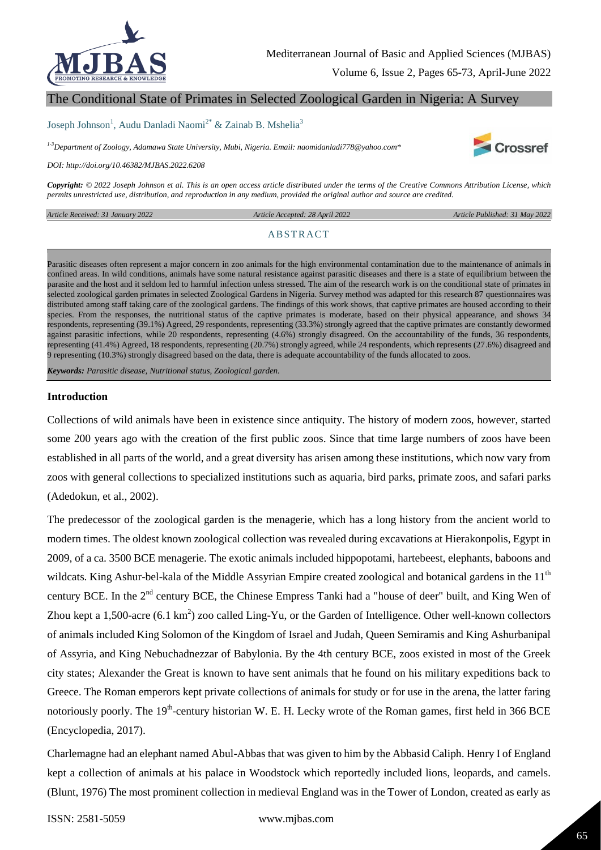

Volume 6, Issue 2, Pages 65-73, April-June 2022

# The Conditional State of Primates in Selected Zoological Garden in Nigeria: A Survey

#### Joseph Johnson<sup>1</sup>, Audu Danladi Naomi<sup>2\*</sup> & Zainab B. Mshelia<sup>3</sup>

*1-3Department of Zoology, Adamawa State University, Mubi, Nigeria. Email: naomidanladi778@yahoo.com\**

*DOI: http://doi.org/10.46382/MJBAS.2022.6208*

*Copyright: © 2022 Joseph Johnson et al. This is an open access article distributed under the terms of the Creative Commons Attribution License, which permits unrestricted use, distribution, and reproduction in any medium, provided the original author and source are credited.* 

*Article Received: 31 January 2022* 

 *Article Accepted: 28 April 2022 Article Published: 31 May 2022*

**Crossref** 

#### **ABSTRACT**

Parasitic diseases often represent a major concern in zoo animals for the high environmental contamination due to the maintenance of animals in confined areas. In wild conditions, animals have some natural resistance against parasitic diseases and there is a state of equilibrium between the parasite and the host and it seldom led to harmful infection unless stressed. The aim of the research work is on the conditional state of primates in selected zoological garden primates in selected Zoological Gardens in Nigeria. Survey method was adapted for this research 87 questionnaires was distributed among staff taking care of the zoological gardens. The findings of this work shows, that captive primates are housed according to their species. From the responses, the nutritional status of the captive primates is moderate, based on their physical appearance, and shows 34 respondents, representing (39.1%) Agreed, 29 respondents, representing (33.3%) strongly agreed that the captive primates are constantly dewormed against parasitic infections, while 20 respondents, representing (4.6%) strongly disagreed. On the accountability of the funds, 36 respondents, representing (41.4%) Agreed, 18 respondents, representing (20.7%) strongly agreed, while 24 respondents, which represents (27.6%) disagreed and 9 representing (10.3%) strongly disagreed based on the data, there is adequate accountability of the funds allocated to zoos.

*Keywords: Parasitic disease, Nutritional status, Zoological garden.*

### **Introduction**

Collections of wild animals have been in existence since antiquity. The history of modern zoos, however, started some 200 years ago with the creation of the first public zoos. Since that time large numbers of zoos have been established in all parts of the world, and a great diversity has arisen among these institutions, which now vary from zoos with general collections to specialized institutions such as aquaria, bird parks, primate zoos, and safari parks (Adedokun, et al., 2002).

The predecessor of the zoological garden is the menagerie, which has a long history from the ancient world to modern times. The oldest known zoological collection was revealed during excavations at Hierakonpolis, Egypt in 2009, of a ca. 3500 BCE menagerie. The exotic animals included hippopotami, hartebeest, elephants, baboons and wildcats. King Ashur-bel-kala of the Middle Assyrian Empire created zoological and botanical gardens in the  $11<sup>th</sup>$ century BCE. In the 2<sup>nd</sup> century BCE, the Chinese Empress Tanki had a "house of deer" built, and King Wen of Zhou kept a 1,500-acre (6.1 km<sup>2</sup>) zoo called Ling-Yu, or the Garden of Intelligence. Other well-known collectors of animals included King Solomon of the Kingdom of Israel and Judah, Queen Semiramis and King Ashurbanipal of Assyria, and King Nebuchadnezzar of Babylonia. By the 4th century BCE, zoos existed in most of the Greek city states; Alexander the Great is known to have sent animals that he found on his military expeditions back to Greece. The Roman emperors kept private collections of animals for study or for use in the arena, the latter faring notoriously poorly. The 19<sup>th</sup>-century historian W. E. H. Lecky wrote of the Roman games, first held in 366 BCE (Encyclopedia, 2017).

Charlemagne had an elephant named Abul-Abbas that was given to him by the Abbasid Caliph. Henry I of England kept a collection of animals at his palace in Woodstock which reportedly included lions, leopards, and camels. (Blunt, 1976) The most prominent collection in medieval England was in the Tower of London, created as early as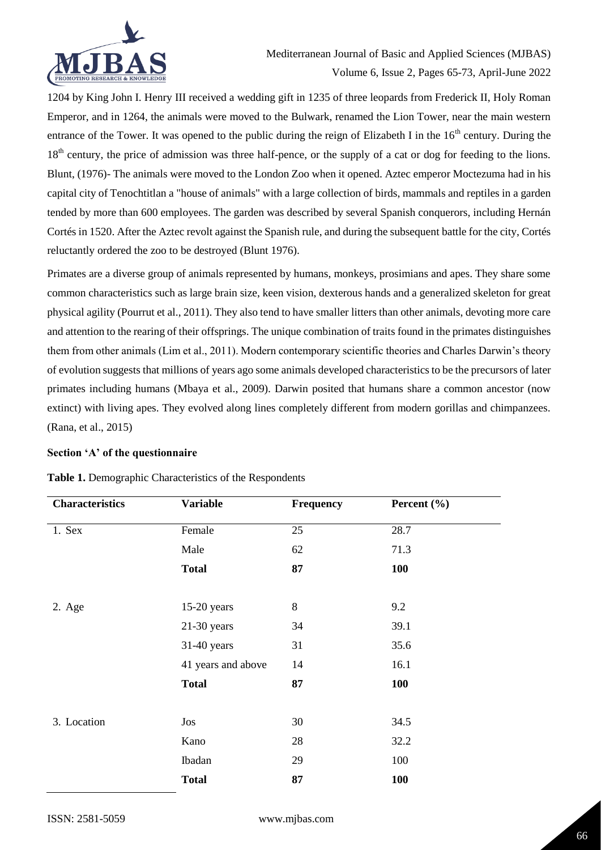

1204 by King John I. Henry III received a wedding gift in 1235 of three leopards from Frederick II, Holy Roman Emperor, and in 1264, the animals were moved to the Bulwark, renamed the Lion Tower, near the main western entrance of the Tower. It was opened to the public during the reign of Elizabeth I in the  $16<sup>th</sup>$  century. During the 18<sup>th</sup> century, the price of admission was three half-pence, or the supply of a cat or dog for feeding to the lions. Blunt, (1976)- The animals were moved to the London Zoo when it opened. Aztec emperor Moctezuma had in his capital city of Tenochtitlan a "house of animals" with a large collection of birds, mammals and reptiles in a garden tended by more than 600 employees. The garden was described by several Spanish conquerors, including Hernán Cortés in 1520. After the Aztec revolt against the Spanish rule, and during the subsequent battle for the city, Cortés reluctantly ordered the zoo to be destroyed (Blunt 1976).

Primates are a diverse group of animals represented by humans, monkeys, prosimians and apes. They share some common characteristics such as large brain size, keen vision, dexterous hands and a generalized skeleton for great physical agility (Pourrut et al., 2011). They also tend to have smaller litters than other animals, devoting more care and attention to the rearing of their offsprings. The unique combination of traits found in the primates distinguishes them from other animals (Lim et al., 2011). Modern contemporary scientific theories and Charles Darwin's theory of evolution suggests that millions of years ago some animals developed characteristics to be the precursors of later primates including humans (Mbaya et al., 2009). Darwin posited that humans share a common ancestor (now extinct) with living apes. They evolved along lines completely different from modern gorillas and chimpanzees. (Rana, et al., 2015)

### **Section 'A' of the questionnaire**

| <b>Characteristics</b> | <b>Variable</b>    | Frequency | Percent (%) |
|------------------------|--------------------|-----------|-------------|
| 1. Sex                 | Female             | 25        | 28.7        |
|                        | Male               | 62        | 71.3        |
|                        | <b>Total</b>       | 87        | <b>100</b>  |
|                        |                    |           |             |
| 2. Age                 | $15-20$ years      | $\,8\,$   | 9.2         |
|                        | $21-30$ years      | 34        | 39.1        |
|                        | 31-40 years        | 31        | 35.6        |
|                        | 41 years and above | 14        | 16.1        |
|                        | <b>Total</b>       | 87        | <b>100</b>  |
|                        |                    |           |             |
| 3. Location            | Jos                | 30        | 34.5        |
|                        | Kano               | 28        | 32.2        |
|                        | Ibadan             | 29        | 100         |
|                        | <b>Total</b>       | 87        | <b>100</b>  |

### **Table 1.** Demographic Characteristics of the Respondents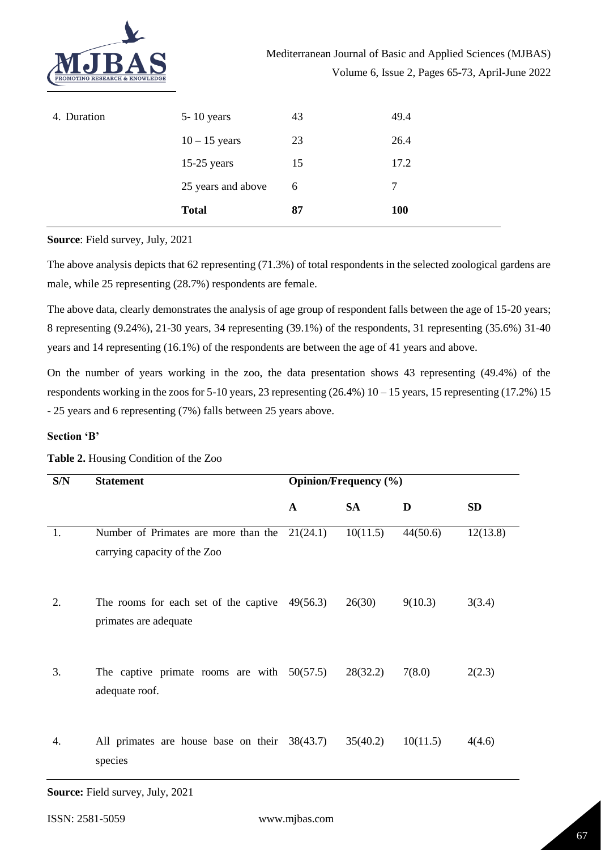

| 4. Duration | $5 - 10$ years     | 43 | 49.4 |
|-------------|--------------------|----|------|
|             | $10 - 15$ years    | 23 | 26.4 |
|             | $15-25$ years      | 15 | 17.2 |
|             | 25 years and above | 6  | 7    |
|             | <b>Total</b>       | 87 | 100  |

**Source**: Field survey, July, 2021

The above analysis depicts that 62 representing (71.3%) of total respondents in the selected zoological gardens are male, while 25 representing (28.7%) respondents are female.

The above data, clearly demonstrates the analysis of age group of respondent falls between the age of 15-20 years; 8 representing (9.24%), 21-30 years, 34 representing (39.1%) of the respondents, 31 representing (35.6%) 31-40 years and 14 representing (16.1%) of the respondents are between the age of 41 years and above.

On the number of years working in the zoo, the data presentation shows 43 representing (49.4%) of the respondents working in the zoos for 5-10 years, 23 representing (26.4%) 10 – 15 years, 15 representing (17.2%) 15 - 25 years and 6 representing (7%) falls between 25 years above.

### **Section 'B'**

| S/N | <b>Statement</b>                                                                | <b>Opinion/Frequency</b> (%) |           |          |           |
|-----|---------------------------------------------------------------------------------|------------------------------|-----------|----------|-----------|
|     |                                                                                 | $\mathbf{A}$                 | <b>SA</b> | D        | <b>SD</b> |
| 1.  | Number of Primates are more than the $21(24.1)$<br>carrying capacity of the Zoo |                              | 10(11.5)  | 44(50.6) | 12(13.8)  |
| 2.  | The rooms for each set of the captive $49(56.3)$<br>primates are adequate       |                              | 26(30)    | 9(10.3)  | 3(3.4)    |
| 3.  | The captive primate rooms are with $50(57.5)$<br>adequate roof.                 |                              | 28(32.2)  | 7(8.0)   | 2(2.3)    |
| 4.  | All primates are house base on their $38(43.7)$<br>species                      |                              | 35(40.2)  | 10(11.5) | 4(4.6)    |

# **Table 2.** Housing Condition of the Zoo

**Source:** Field survey, July, 2021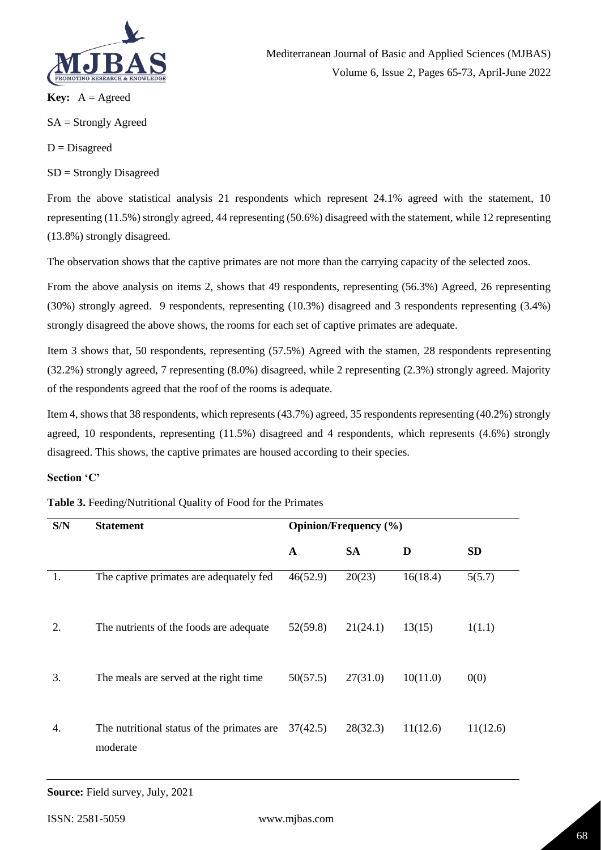

**Key:**  $A = \text{Agreed}$ 

SA = Strongly Agreed

 $D = Disagreed$ 

SD = Strongly Disagreed

From the above statistical analysis 21 respondents which represent 24.1% agreed with the statement, 10 representing (11.5%) strongly agreed, 44 representing (50.6%) disagreed with the statement, while 12 representing (13.8%) strongly disagreed.

The observation shows that the captive primates are not more than the carrying capacity of the selected zoos.

From the above analysis on items 2, shows that 49 respondents, representing (56.3%) Agreed, 26 representing (30%) strongly agreed. 9 respondents, representing (10.3%) disagreed and 3 respondents representing (3.4%) strongly disagreed the above shows, the rooms for each set of captive primates are adequate.

Item 3 shows that, 50 respondents, representing (57.5%) Agreed with the stamen, 28 respondents representing (32.2%) strongly agreed, 7 representing (8.0%) disagreed, while 2 representing (2.3%) strongly agreed. Majority of the respondents agreed that the roof of the rooms is adequate.

Item 4, shows that 38 respondents, which represents (43.7%) agreed, 35 respondents representing (40.2%) strongly agreed, 10 respondents, representing (11.5%) disagreed and 4 respondents, which represents (4.6%) strongly disagreed. This shows, the captive primates are housed according to their species.

## **Section 'C'**

### **Table 3.** Feeding/Nutritional Quality of Food for the Primates

| S/N | <b>Statement</b>                                                  | Opinion/Frequency (%) |           |          |           |
|-----|-------------------------------------------------------------------|-----------------------|-----------|----------|-----------|
|     |                                                                   | A                     | <b>SA</b> | D        | <b>SD</b> |
| 1.  | The captive primates are adequately fed                           | 46(52.9)              | 20(23)    | 16(18.4) | 5(5.7)    |
| 2.  | The nutrients of the foods are adequate                           | 52(59.8)              | 21(24.1)  | 13(15)   | 1(1.1)    |
| 3.  | The meals are served at the right time                            | 50(57.5)              | 27(31.0)  | 10(11.0) | 0(0)      |
| 4.  | The nutritional status of the primates are $37(42.5)$<br>moderate |                       | 28(32.3)  | 11(12.6) | 11(12.6)  |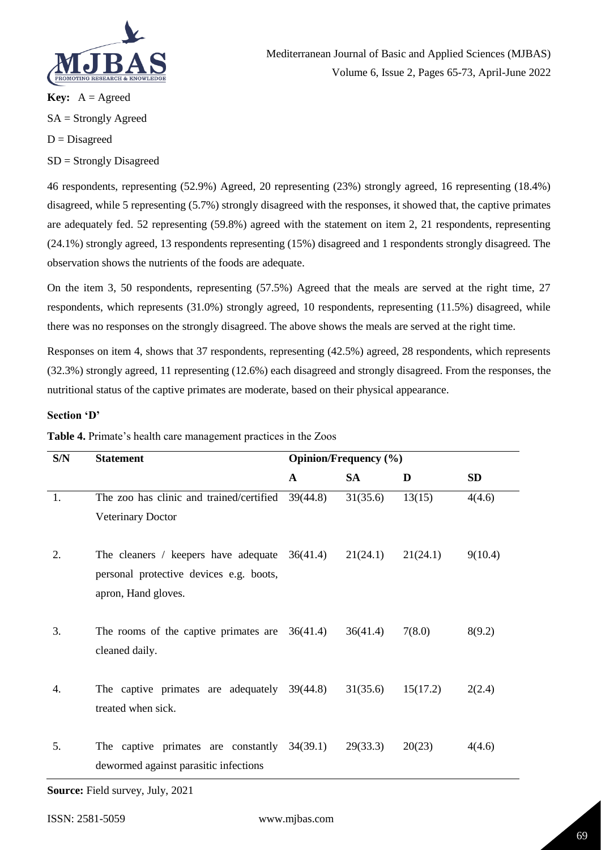

**Key:**  $A = \text{Agreed}$ SA = Strongly Agreed  $D = Disagreed$ 

SD = Strongly Disagreed

46 respondents, representing (52.9%) Agreed, 20 representing (23%) strongly agreed, 16 representing (18.4%) disagreed, while 5 representing (5.7%) strongly disagreed with the responses, it showed that, the captive primates are adequately fed. 52 representing (59.8%) agreed with the statement on item 2, 21 respondents, representing (24.1%) strongly agreed, 13 respondents representing (15%) disagreed and 1 respondents strongly disagreed. The observation shows the nutrients of the foods are adequate.

On the item 3, 50 respondents, representing (57.5%) Agreed that the meals are served at the right time, 27 respondents, which represents (31.0%) strongly agreed, 10 respondents, representing (11.5%) disagreed, while there was no responses on the strongly disagreed. The above shows the meals are served at the right time.

Responses on item 4, shows that 37 respondents, representing (42.5%) agreed, 28 respondents, which represents (32.3%) strongly agreed, 11 representing (12.6%) each disagreed and strongly disagreed. From the responses, the nutritional status of the captive primates are moderate, based on their physical appearance.

# **Section 'D'**

| S/N | <b>Statement</b>                                                                                                  | <b>Opinion/Frequency</b> (%) |           |          |           |
|-----|-------------------------------------------------------------------------------------------------------------------|------------------------------|-----------|----------|-----------|
|     |                                                                                                                   | $\mathbf{A}$                 | <b>SA</b> | D        | <b>SD</b> |
| 1.  | The zoo has clinic and trained/certified<br><b>Veterinary Doctor</b>                                              | 39(44.8)                     | 31(35.6)  | 13(15)   | 4(4.6)    |
| 2.  | The cleaners / keepers have adequate $36(41.4)$<br>personal protective devices e.g. boots,<br>apron, Hand gloves. |                              | 21(24.1)  | 21(24.1) | 9(10.4)   |
| 3.  | The rooms of the captive primates are $36(41.4)$<br>cleaned daily.                                                |                              | 36(41.4)  | 7(8.0)   | 8(9.2)    |
| 4.  | The captive primates are adequately $39(44.8)$<br>treated when sick.                                              |                              | 31(35.6)  | 15(17.2) | 2(2.4)    |
| 5.  | The captive primates are constantly $34(39.1)$<br>dewormed against parasitic infections                           |                              | 29(33.3)  | 20(23)   | 4(4.6)    |

**Table 4.** Primate's health care management practices in the Zoos

**Source:** Field survey, July, 2021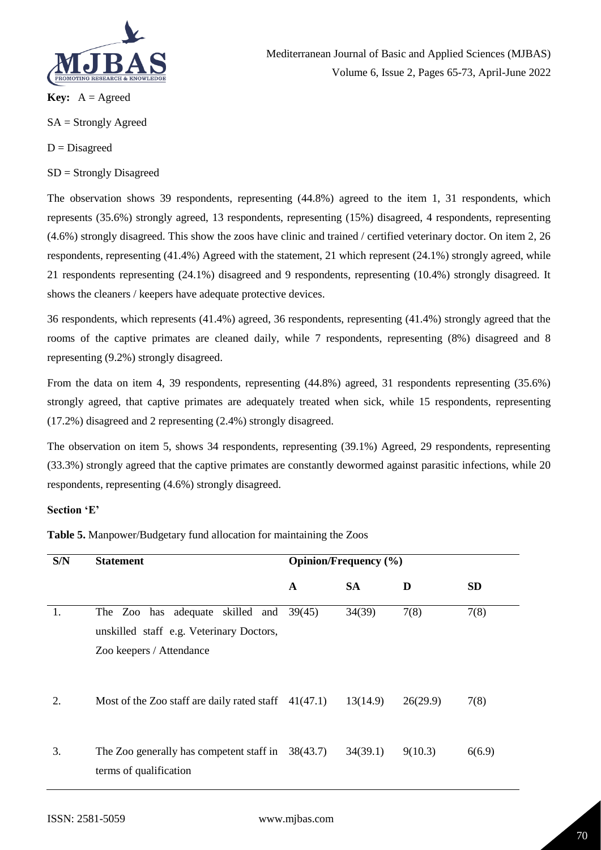

Mediterranean Journal of Basic and Applied Sciences (MJBAS) Volume 6, Issue 2, Pages 65-73, April-June 2022

**Key:**  $A = \text{Agreed}$ 

SA = Strongly Agreed

 $D = Disagreed$ 

SD = Strongly Disagreed

The observation shows 39 respondents, representing (44.8%) agreed to the item 1, 31 respondents, which represents (35.6%) strongly agreed, 13 respondents, representing (15%) disagreed, 4 respondents, representing (4.6%) strongly disagreed. This show the zoos have clinic and trained / certified veterinary doctor. On item 2, 26 respondents, representing (41.4%) Agreed with the statement, 21 which represent (24.1%) strongly agreed, while 21 respondents representing (24.1%) disagreed and 9 respondents, representing (10.4%) strongly disagreed. It shows the cleaners / keepers have adequate protective devices.

36 respondents, which represents (41.4%) agreed, 36 respondents, representing (41.4%) strongly agreed that the rooms of the captive primates are cleaned daily, while 7 respondents, representing (8%) disagreed and 8 representing (9.2%) strongly disagreed.

From the data on item 4, 39 respondents, representing (44.8%) agreed, 31 respondents representing (35.6%) strongly agreed, that captive primates are adequately treated when sick, while 15 respondents, representing (17.2%) disagreed and 2 representing (2.4%) strongly disagreed.

The observation on item 5, shows 34 respondents, representing (39.1%) Agreed, 29 respondents, representing (33.3%) strongly agreed that the captive primates are constantly dewormed against parasitic infections, while 20 respondents, representing (4.6%) strongly disagreed.

## **Section 'E'**

**Table 5.** Manpower/Budgetary fund allocation for maintaining the Zoos

| S/N | <b>Statement</b>                                                                                         | <b>Opinion/Frequency</b> (%) |           |          |           |
|-----|----------------------------------------------------------------------------------------------------------|------------------------------|-----------|----------|-----------|
|     |                                                                                                          | A                            | <b>SA</b> | D        | <b>SD</b> |
| 1.  | The Zoo has adequate skilled and<br>unskilled staff e.g. Veterinary Doctors,<br>Zoo keepers / Attendance | 39(45)                       | 34(39)    | 7(8)     | 7(8)      |
| 2.  | Most of the Zoo staff are daily rated staff $41(47.1)$ $13(14.9)$                                        |                              |           | 26(29.9) | 7(8)      |
| 3.  | The Zoo generally has competent staff in $38(43.7)$<br>terms of qualification                            |                              | 34(39.1)  | 9(10.3)  | 6(6.9)    |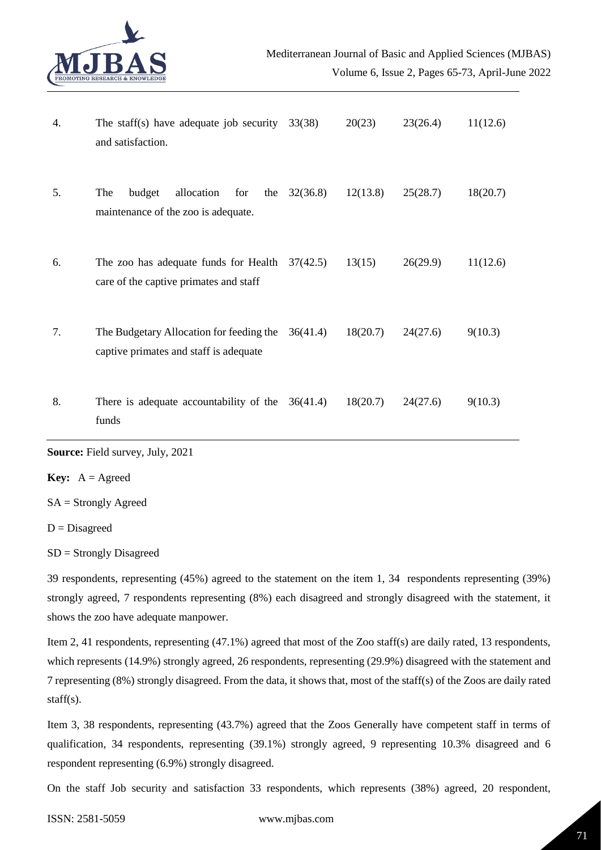

| 4. | The staff(s) have adequate job security $33(38)$<br>and satisfaction.                         |          | 20(23)   | 23(26.4) | 11(12.6) |
|----|-----------------------------------------------------------------------------------------------|----------|----------|----------|----------|
| 5. | The<br>budget<br>allocation<br>for<br>the<br>maintenance of the zoo is adequate.              | 32(36.8) | 12(13.8) | 25(28.7) | 18(20.7) |
| 6. | The zoo has adequate funds for Health $37(42.5)$<br>care of the captive primates and staff    |          | 13(15)   | 26(29.9) | 11(12.6) |
| 7. | The Budgetary Allocation for feeding the $36(41.4)$<br>captive primates and staff is adequate |          | 18(20.7) | 24(27.6) | 9(10.3)  |
| 8. | There is adequate accountability of the $36(41.4)$<br>funds                                   |          | 18(20.7) | 24(27.6) | 9(10.3)  |

**Source:** Field survey, July, 2021

**Key:**  $A = \text{Agreed}$ 

SA = Strongly Agreed

D = Disagreed

SD = Strongly Disagreed

39 respondents, representing (45%) agreed to the statement on the item 1, 34 respondents representing (39%) strongly agreed, 7 respondents representing (8%) each disagreed and strongly disagreed with the statement, it shows the zoo have adequate manpower.

Item 2, 41 respondents, representing (47.1%) agreed that most of the Zoo staff(s) are daily rated, 13 respondents, which represents (14.9%) strongly agreed, 26 respondents, representing (29.9%) disagreed with the statement and 7 representing (8%) strongly disagreed. From the data, it shows that, most of the staff(s) of the Zoos are daily rated staff(s).

Item 3, 38 respondents, representing (43.7%) agreed that the Zoos Generally have competent staff in terms of qualification, 34 respondents, representing (39.1%) strongly agreed, 9 representing 10.3% disagreed and 6 respondent representing (6.9%) strongly disagreed.

On the staff Job security and satisfaction 33 respondents, which represents (38%) agreed, 20 respondent,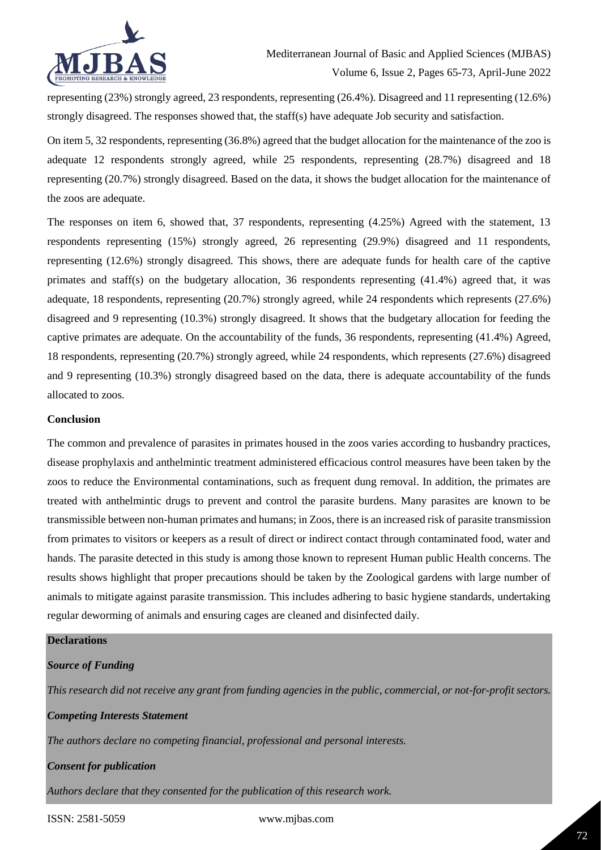

representing (23%) strongly agreed, 23 respondents, representing (26.4%). Disagreed and 11 representing (12.6%) strongly disagreed. The responses showed that, the staff(s) have adequate Job security and satisfaction.

On item 5, 32 respondents, representing (36.8%) agreed that the budget allocation for the maintenance of the zoo is adequate 12 respondents strongly agreed, while 25 respondents, representing (28.7%) disagreed and 18 representing (20.7%) strongly disagreed. Based on the data, it shows the budget allocation for the maintenance of the zoos are adequate.

The responses on item 6, showed that, 37 respondents, representing (4.25%) Agreed with the statement, 13 respondents representing (15%) strongly agreed, 26 representing (29.9%) disagreed and 11 respondents, representing (12.6%) strongly disagreed. This shows, there are adequate funds for health care of the captive primates and staff(s) on the budgetary allocation, 36 respondents representing (41.4%) agreed that, it was adequate, 18 respondents, representing (20.7%) strongly agreed, while 24 respondents which represents (27.6%) disagreed and 9 representing (10.3%) strongly disagreed. It shows that the budgetary allocation for feeding the captive primates are adequate. On the accountability of the funds, 36 respondents, representing (41.4%) Agreed, 18 respondents, representing (20.7%) strongly agreed, while 24 respondents, which represents (27.6%) disagreed and 9 representing (10.3%) strongly disagreed based on the data, there is adequate accountability of the funds allocated to zoos.

### **Conclusion**

The common and prevalence of parasites in primates housed in the zoos varies according to husbandry practices, disease prophylaxis and anthelmintic treatment administered efficacious control measures have been taken by the zoos to reduce the Environmental contaminations, such as frequent dung removal. In addition, the primates are treated with anthelmintic drugs to prevent and control the parasite burdens. Many parasites are known to be transmissible between non-human primates and humans; in Zoos, there is an increased risk of parasite transmission from primates to visitors or keepers as a result of direct or indirect contact through contaminated food, water and hands. The parasite detected in this study is among those known to represent Human public Health concerns. The results shows highlight that proper precautions should be taken by the Zoological gardens with large number of animals to mitigate against parasite transmission. This includes adhering to basic hygiene standards, undertaking regular deworming of animals and ensuring cages are cleaned and disinfected daily.

## **Declarations**

### *Source of Funding*

*This research did not receive any grant from funding agencies in the public, commercial, or not-for-profit sectors.*

*Competing Interests Statement The authors declare no competing financial, professional and personal interests.*

*Consent for publication*

*Authors declare that they consented for the publication of this research work.* 

ISSN: 2581-5059 www.mjbas.com